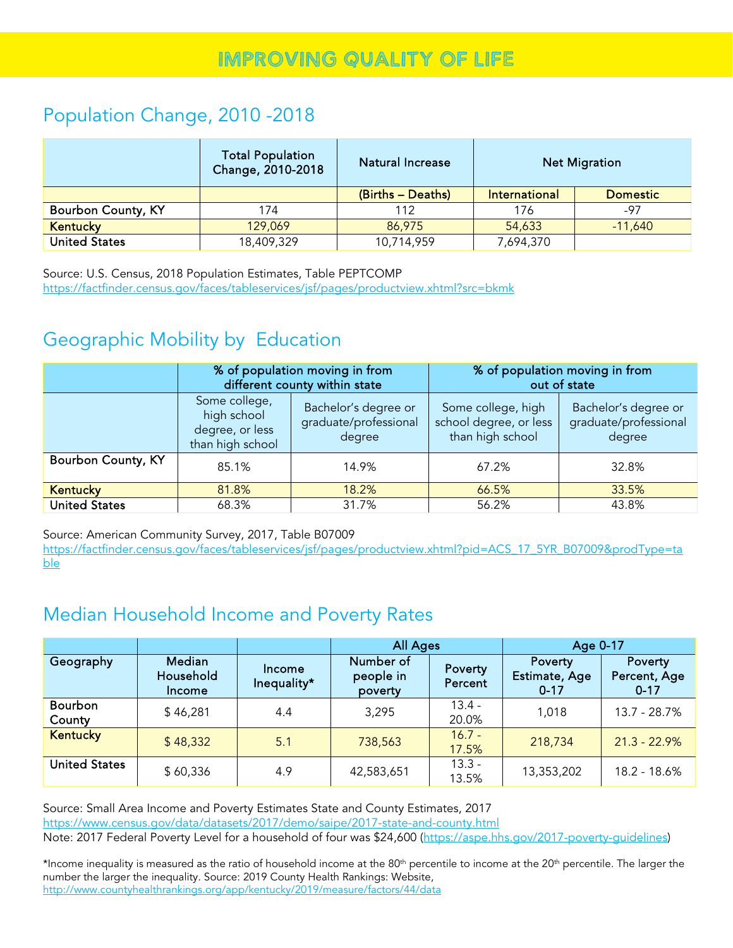### Population Change, 2010 -2018

|                           | <b>Total Population</b><br>Change, 2010-2018 | Natural Increase  |               | <b>Net Migration</b> |
|---------------------------|----------------------------------------------|-------------------|---------------|----------------------|
|                           |                                              | (Births - Deaths) | International | <b>Domestic</b>      |
| <b>Bourbon County, KY</b> | 174                                          | 112               | 176           | $-97$                |
| <b>Kentucky</b>           | 129,069                                      | 86,975            | 54,633        | $-11,640$            |
| <b>United States</b>      | 18,409,329                                   | 10,714,959        | 7,694,370     |                      |

Source: U.S. Census, 2018 Population Estimates, Table PEPTCOMP <https://factfinder.census.gov/faces/tableservices/jsf/pages/productview.xhtml?src=bkmk>

## Geographic Mobility by Education

|                      |                                                                     | % of population moving in from<br>different county within state | % of population moving in from<br>out of state                   |                                                         |  |  |
|----------------------|---------------------------------------------------------------------|-----------------------------------------------------------------|------------------------------------------------------------------|---------------------------------------------------------|--|--|
|                      | Some college,<br>high school<br>degree, or less<br>than high school | Bachelor's degree or<br>graduate/professional<br>degree         | Some college, high<br>school degree, or less<br>than high school | Bachelor's degree or<br>graduate/professional<br>degree |  |  |
| Bourbon County, KY   | 85.1%<br>14.9%                                                      |                                                                 | 67.2%                                                            | 32.8%                                                   |  |  |
| <b>Kentucky</b>      | 81.8%                                                               | 18.2%                                                           | 66.5%                                                            | 33.5%                                                   |  |  |
| <b>United States</b> | 68.3%                                                               | 31.7%                                                           | 56.2%                                                            | 43.8%                                                   |  |  |

Source: American Community Survey, 2017, Table B07009

[https://factfinder.census.gov/faces/tableservices/jsf/pages/productview.xhtml?pid=ACS\\_17\\_5YR\\_B07009&prodType=ta](https://factfinder.census.gov/faces/tableservices/jsf/pages/productview.xhtml?pid=ACS_17_5YR_B07009&prodType=table) [ble](https://factfinder.census.gov/faces/tableservices/jsf/pages/productview.xhtml?pid=ACS_17_5YR_B07009&prodType=table)

### Median Household Income and Poverty Rates

|                          |                                      |                       | <b>All Ages</b>                   |                    | Age 0-17                             |                                     |  |
|--------------------------|--------------------------------------|-----------------------|-----------------------------------|--------------------|--------------------------------------|-------------------------------------|--|
| Geography                | <b>Median</b><br>Household<br>Income | Income<br>Inequality* | Number of<br>people in<br>poverty | Poverty<br>Percent | Poverty<br>Estimate, Age<br>$0 - 17$ | Poverty<br>Percent, Age<br>$0 - 17$ |  |
| <b>Bourbon</b><br>County | \$46,281                             | 4.4                   | 3,295                             | $13.4 -$<br>20.0%  | 1,018                                | 13.7 - 28.7%                        |  |
| <b>Kentucky</b>          | \$48,332                             | 5.1                   | 738,563                           | $16.7 -$<br>17.5%  | 218,734                              | $21.3 - 22.9%$                      |  |
| <b>United States</b>     | \$60,336                             | 4.9                   | 42,583,651                        | $13.3 -$<br>13.5%  | 13,353,202                           | 18.2 - 18.6%                        |  |

Source: Small Area Income and Poverty Estimates State and County Estimates, 2017 <https://www.census.gov/data/datasets/2017/demo/saipe/2017-state-and-county.html> Note: 2017 Federal Poverty Level for a household of four was \$24,600 [\(https://aspe.hhs.gov/2017-poverty-guidelines\)](https://aspe.hhs.gov/2017-poverty-guidelines)

\*Income inequality is measured as the ratio of household income at the 80<sup>th</sup> percentile to income at the 20<sup>th</sup> percentile. The larger the number the larger the inequality. Source: 2019 County Health Rankings: Website, <http://www.countyhealthrankings.org/app/kentucky/2019/measure/factors/44/data>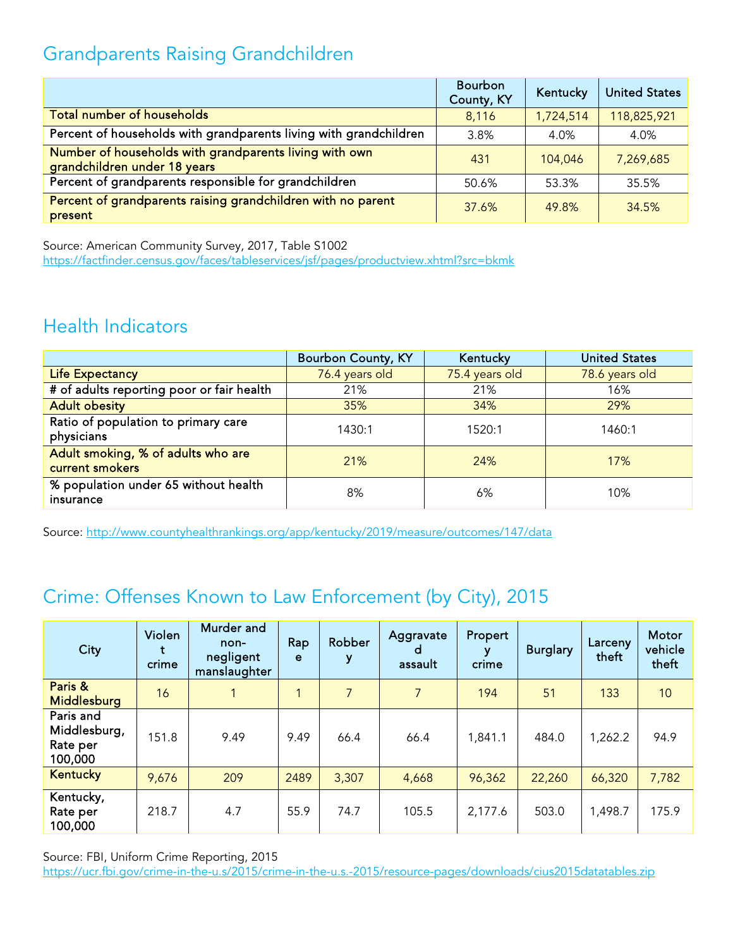# Grandparents Raising Grandchildren

|                                                                                        | Bourbon<br>County, KY | Kentucky  | <b>United States</b> |
|----------------------------------------------------------------------------------------|-----------------------|-----------|----------------------|
| <b>Total number of households</b>                                                      | 8,116                 | 1,724,514 | 118,825,921          |
| Percent of households with grandparents living with grandchildren                      | 3.8%                  | 4.0%      | 4.0%                 |
| Number of households with grandparents living with own<br>grandchildren under 18 years | 431                   | 104,046   | 7,269,685            |
| Percent of grandparents responsible for grandchildren                                  | 50.6%                 | 53.3%     | 35.5%                |
| Percent of grandparents raising grandchildren with no parent<br>present                | 37.6%                 | 49.8%     | 34.5%                |

Source: American Community Survey, 2017, Table S1002 <https://factfinder.census.gov/faces/tableservices/jsf/pages/productview.xhtml?src=bkmk>

#### Health Indicators

|                                                       | <b>Bourbon County, KY</b> | Kentucky       | <b>United States</b> |
|-------------------------------------------------------|---------------------------|----------------|----------------------|
| <b>Life Expectancy</b>                                | 76.4 years old            | 75.4 years old | 78.6 years old       |
| # of adults reporting poor or fair health             | 21%                       | 21%            | 16%                  |
| <b>Adult obesity</b>                                  | 35%                       | 34%            | 29%                  |
| Ratio of population to primary care<br>physicians     | 1430:1                    | 1520:1         | 1460:1               |
| Adult smoking, % of adults who are<br>current smokers | 21%                       | 24%            | 17%                  |
| % population under 65 without health<br>insurance     | 8%                        | 6%             | 10%                  |

Source:<http://www.countyhealthrankings.org/app/kentucky/2019/measure/outcomes/147/data>

## Crime: Offenses Known to Law Enforcement (by City), 2015

| City                                             | Violen<br>crime | Murder and<br>non-<br>negligent<br>manslaughter | Rap<br>e | Robber<br>у | Aggravate<br>d<br>assault | Propert<br>crime | <b>Burglary</b> | Larceny<br>theft | Motor<br>vehicle<br>theft |
|--------------------------------------------------|-----------------|-------------------------------------------------|----------|-------------|---------------------------|------------------|-----------------|------------------|---------------------------|
| Paris &<br>Middlesburg                           | 16              |                                                 | 1        | 7           | $\overline{7}$            | 194              | 51              | 133              | 10                        |
| Paris and<br>Middlesburg,<br>Rate per<br>100,000 | 151.8           | 9.49                                            | 9.49     | 66.4        | 66.4                      | 1,841.1          | 484.0           | 1,262.2          | 94.9                      |
| <b>Kentucky</b>                                  | 9,676           | 209                                             | 2489     | 3,307       | 4,668                     | 96,362           | 22,260          | 66,320           | 7,782                     |
| Kentucky,<br>Rate per<br>100,000                 | 218.7           | 4.7                                             | 55.9     | 74.7        | 105.5                     | 2,177.6          | 503.0           | 1,498.7          | 175.9                     |

Source: FBI, Uniform Crime Reporting, 2015

<https://ucr.fbi.gov/crime-in-the-u.s/2015/crime-in-the-u.s.-2015/resource-pages/downloads/cius2015datatables.zip>